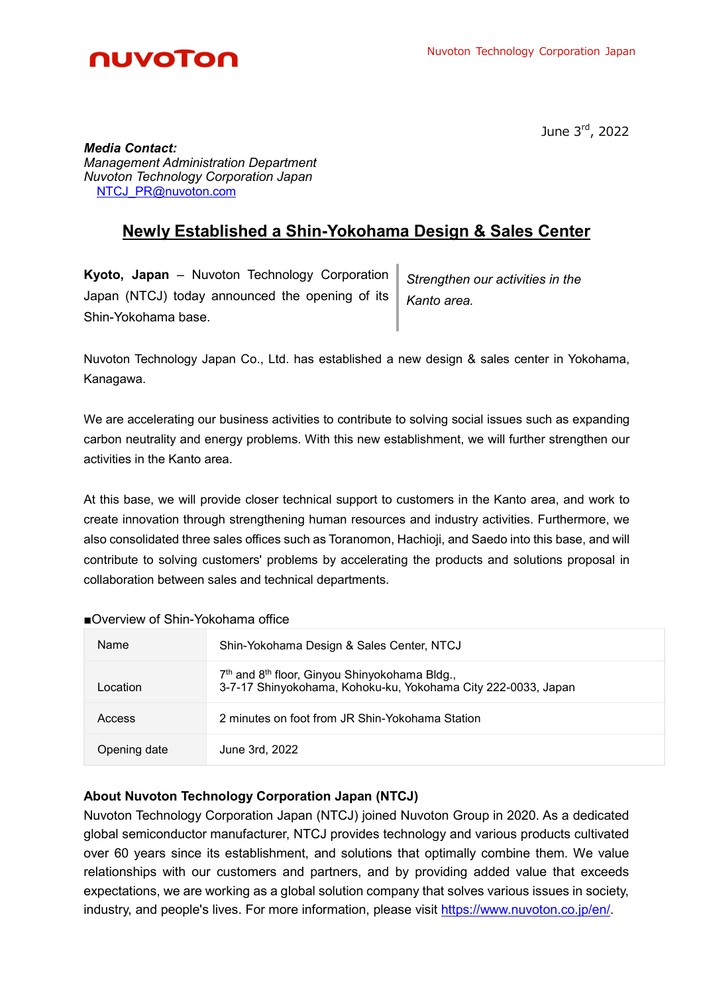

June 3rd, 2022

*Media Contact: Management Administration Department Nuvoton Technology Corporation Japan* **[NTCJ\\_PR@nuvoton.com](mailto:NTCJ_PR@nuvoton.com)** 

## **Newly Established a Shin-Yokohama Design & Sales Center**

**Kyoto, Japan** – Nuvoton Technology Corporation Japan (NTCJ) today announced the opening of its Shin-Yokohama base.

*Strengthen our activities in the Kanto area.*

Nuvoton Technology Japan Co., Ltd. has established a new design & sales center in Yokohama, Kanagawa.

We are accelerating our business activities to contribute to solving social issues such as expanding carbon neutrality and energy problems. With this new establishment, we will further strengthen our activities in the Kanto area.

At this base, we will provide closer technical support to customers in the Kanto area, and work to create innovation through strengthening human resources and industry activities. Furthermore, we also consolidated three sales offices such as Toranomon, Hachioji, and Saedo into this base, and will contribute to solving customers' problems by accelerating the products and solutions proposal in collaboration between sales and technical departments.

## ■Overview of Shin-Yokohama office

| Name         | Shin-Yokohama Design & Sales Center, NTCJ                                                                                              |
|--------------|----------------------------------------------------------------------------------------------------------------------------------------|
| Location     | 7 <sup>th</sup> and 8 <sup>th</sup> floor, Ginyou Shinyokohama Bldg.,<br>3-7-17 Shinyokohama, Kohoku-ku, Yokohama City 222-0033, Japan |
| Access       | 2 minutes on foot from JR Shin-Yokohama Station                                                                                        |
| Opening date | June 3rd, 2022                                                                                                                         |

## **About Nuvoton Technology Corporation Japan (NTCJ)**

Nuvoton Technology Corporation Japan (NTCJ) joined Nuvoton Group in 2020. As a dedicated global semiconductor manufacturer, NTCJ provides technology and various products cultivated over 60 years since its establishment, and solutions that optimally combine them. We value relationships with our customers and partners, and by providing added value that exceeds expectations, we are working as a global solution company that solves various issues in society, industry, and people's lives. For more information, please visit [https://www.nuvoton.co.jp/en/.](https://www.nuvoton.co.jp/en/)